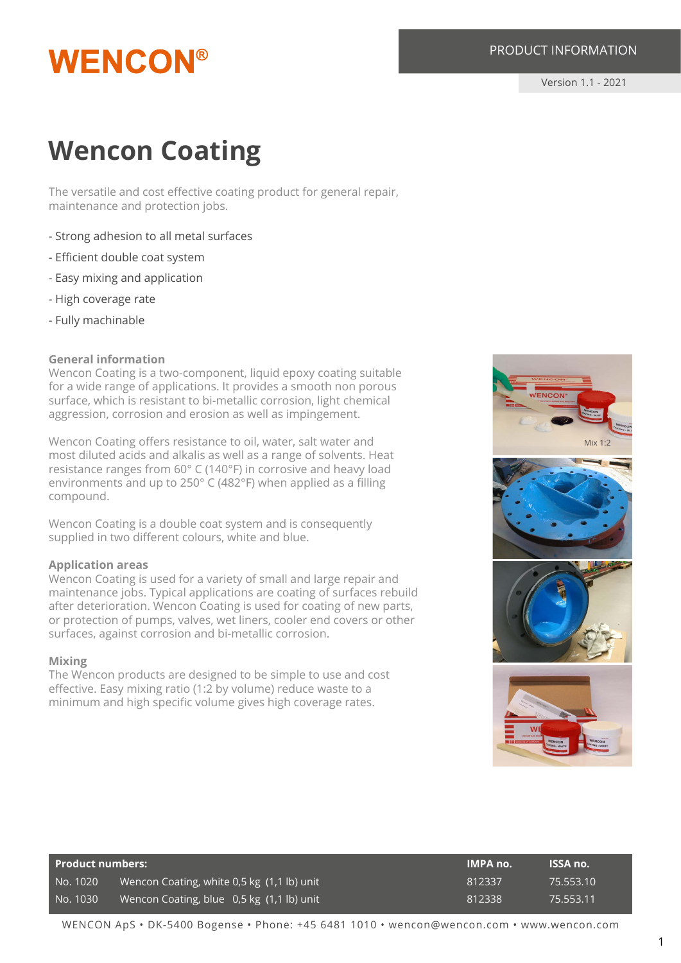## **WENCON®**

Version 1.1 - 2021

### **Wencon Coating**

The versatile and cost effective coating product for general repair, maintenance and protection jobs.

- Strong adhesion to all metal surfaces
- Efficient double coat system
- Easy mixing and application
- High coverage rate
- Fully machinable

#### **General information**

Wencon Coating is a two-component, liquid epoxy coating suitable for a wide range of applications. It provides a smooth non porous surface, which is resistant to bi-metallic corrosion, light chemical aggression, corrosion and erosion as well as impingement.

Wencon Coating offers resistance to oil, water, salt water and most diluted acids and alkalis as well as a range of solvents. Heat resistance ranges from 60° C (140°F) in corrosive and heavy load environments and up to 250° C (482°F) when applied as a filling compound.

Wencon Coating is a double coat system and is consequently supplied in two different colours, white and blue.

#### **Application areas**

Wencon Coating is used for a variety of small and large repair and maintenance jobs. Typical applications are coating of surfaces rebuild after deterioration. Wencon Coating is used for coating of new parts, or protection of pumps, valves, wet liners, cooler end covers or other surfaces, against corrosion and bi-metallic corrosion.

#### **Mixing**

The Wencon products are designed to be simple to use and cost effective. Easy mixing ratio (1:2 by volume) reduce waste to a minimum and high specific volume gives high coverage rates.



| <b>Product numbers:</b> |                                            | IMPA no. | <b>ISSA no.</b> |
|-------------------------|--------------------------------------------|----------|-----------------|
| No. 1020                | Wencon Coating, white 0,5 kg (1,1 lb) unit | 812337   | 75.553.10       |
| No. 1030                | Wencon Coating, blue 0,5 kg (1,1 lb) unit  | 812338   | 75.553.11       |

WENCON ApS • DK-5400 Bogense • Phone: +45 6481 1010 • wencon@wencon.com • www.wencon.com